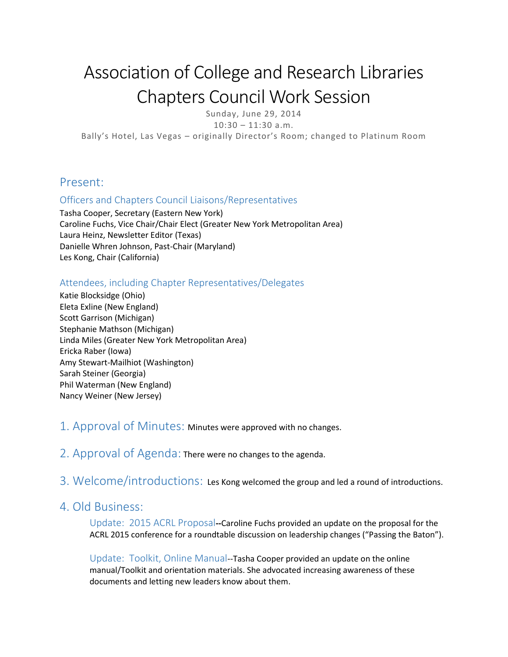# Association of College and Research Libraries Chapters Council Work Session

Sunday, June 29, 2014

 $10:30 - 11:30$  a.m.

Bally's Hotel, Las Vegas – originally Director's Room; changed to Platinum Room

#### Present:

#### Officers and Chapters Council Liaisons/Representatives

Tasha Cooper, Secretary (Eastern New York) Caroline Fuchs, Vice Chair/Chair Elect (Greater New York Metropolitan Area) Laura Heinz, Newsletter Editor (Texas) Danielle Whren Johnson, Past-Chair (Maryland) Les Kong, Chair (California)

#### Attendees, including Chapter Representatives/Delegates

Katie Blocksidge (Ohio) Eleta Exline (New England) Scott Garrison (Michigan) Stephanie Mathson (Michigan) Linda Miles (Greater New York Metropolitan Area) Ericka Raber (Iowa) Amy Stewart-Mailhiot (Washington) Sarah Steiner (Georgia) Phil Waterman (New England) Nancy Weiner (New Jersey)

#### 1. Approval of Minutes: Minutes were approved with no changes.

2. Approval of Agenda: There were no changes to the agenda.

3. Welcome/introductions: Les Kong welcomed the group and led a round of introductions.

#### 4. Old Business:

Update: 2015 ACRL Proposal**--**Caroline Fuchs provided an update on the proposal for the ACRL 2015 conference for a roundtable discussion on leadership changes ("Passing the Baton").

Update: Toolkit, Online Manual--Tasha Cooper provided an update on the online manual/Toolkit and orientation materials. She advocated increasing awareness of these documents and letting new leaders know about them.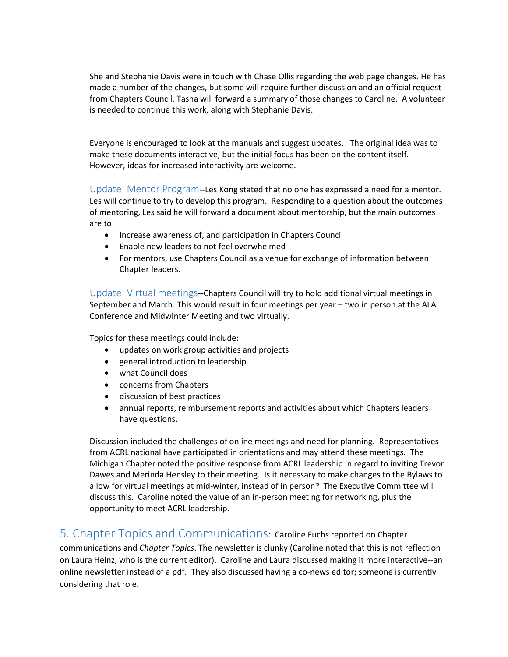She and Stephanie Davis were in touch with Chase Ollis regarding the web page changes. He has made a number of the changes, but some will require further discussion and an official request from Chapters Council. Tasha will forward a summary of those changes to Caroline. A volunteer is needed to continue this work, along with Stephanie Davis.

Everyone is encouraged to look at the manuals and suggest updates. The original idea was to make these documents interactive, but the initial focus has been on the content itself. However, ideas for increased interactivity are welcome.

Update: Mentor Program--Les Kong stated that no one has expressed a need for a mentor. Les will continue to try to develop this program. Responding to a question about the outcomes of mentoring, Les said he will forward a document about mentorship, but the main outcomes are to:

- Increase awareness of, and participation in Chapters Council
- Enable new leaders to not feel overwhelmed
- For mentors, use Chapters Council as a venue for exchange of information between Chapter leaders.

Update: Virtual meetings**--**Chapters Council will try to hold additional virtual meetings in September and March. This would result in four meetings per year – two in person at the ALA Conference and Midwinter Meeting and two virtually.

Topics for these meetings could include:

- updates on work group activities and projects
- general introduction to leadership
- what Council does
- concerns from Chapters
- discussion of best practices
- annual reports, reimbursement reports and activities about which Chapters leaders have questions.

Discussion included the challenges of online meetings and need for planning. Representatives from ACRL national have participated in orientations and may attend these meetings. The Michigan Chapter noted the positive response from ACRL leadership in regard to inviting Trevor Dawes and Merinda Hensley to their meeting. Is it necessary to make changes to the Bylaws to allow for virtual meetings at mid-winter, instead of in person? The Executive Committee will discuss this. Caroline noted the value of an in-person meeting for networking, plus the opportunity to meet ACRL leadership.

### 5. Chapter Topics and Communications: Caroline Fuchs reported on Chapter

communications and *Chapter Topics*. The newsletter is clunky (Caroline noted that this is not reflection on Laura Heinz, who is the current editor). Caroline and Laura discussed making it more interactive--an online newsletter instead of a pdf. They also discussed having a co-news editor; someone is currently considering that role.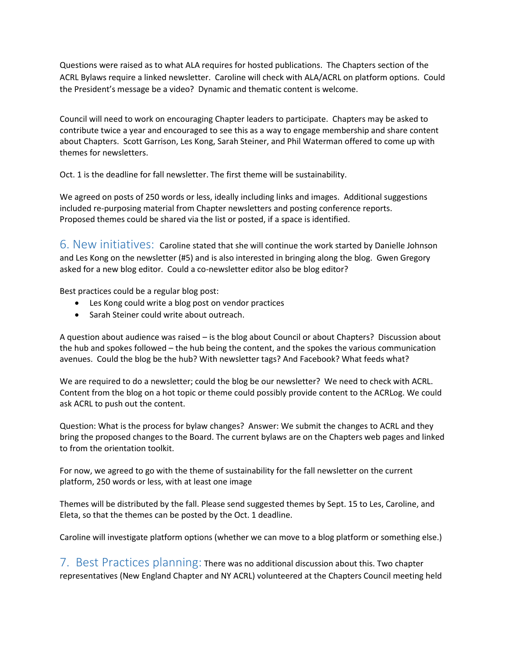Questions were raised as to what ALA requires for hosted publications. The Chapters section of the ACRL Bylaws require a linked newsletter. Caroline will check with ALA/ACRL on platform options. Could the President's message be a video? Dynamic and thematic content is welcome.

Council will need to work on encouraging Chapter leaders to participate. Chapters may be asked to contribute twice a year and encouraged to see this as a way to engage membership and share content about Chapters. Scott Garrison, Les Kong, Sarah Steiner, and Phil Waterman offered to come up with themes for newsletters.

Oct. 1 is the deadline for fall newsletter. The first theme will be sustainability.

We agreed on posts of 250 words or less, ideally including links and images. Additional suggestions included re-purposing material from Chapter newsletters and posting conference reports. Proposed themes could be shared via the list or posted, if a space is identified.

6. New initiatives: Caroline stated that she will continue the work started by Danielle Johnson and Les Kong on the newsletter (#5) and is also interested in bringing along the blog. Gwen Gregory asked for a new blog editor. Could a co-newsletter editor also be blog editor?

Best practices could be a regular blog post:

- Les Kong could write a blog post on vendor practices
- Sarah Steiner could write about outreach.

A question about audience was raised – is the blog about Council or about Chapters? Discussion about the hub and spokes followed – the hub being the content, and the spokes the various communication avenues. Could the blog be the hub? With newsletter tags? And Facebook? What feeds what?

We are required to do a newsletter; could the blog be our newsletter? We need to check with ACRL. Content from the blog on a hot topic or theme could possibly provide content to the ACRLog. We could ask ACRL to push out the content.

Question: What is the process for bylaw changes? Answer: We submit the changes to ACRL and they bring the proposed changes to the Board. The current bylaws are on the Chapters web pages and linked to from the orientation toolkit.

For now, we agreed to go with the theme of sustainability for the fall newsletter on the current platform, 250 words or less, with at least one image

Themes will be distributed by the fall. Please send suggested themes by Sept. 15 to Les, Caroline, and Eleta, so that the themes can be posted by the Oct. 1 deadline.

Caroline will investigate platform options (whether we can move to a blog platform or something else.)

7. Best Practices planning: There was no additional discussion about this. Two chapter representatives (New England Chapter and NY ACRL) volunteered at the Chapters Council meeting held